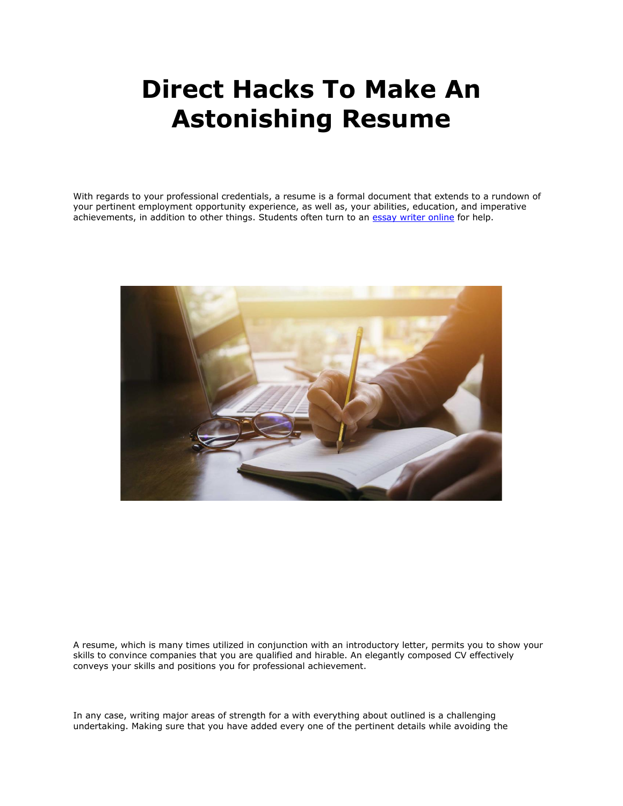# **Direct Hacks To Make An Astonishing Resume**

With regards to your professional credentials, a resume is a formal document that extends to a rundown of your pertinent employment opportunity experience, as well as, your abilities, education, and imperative achievements, in addition to other things. Students often turn to an [essay writer online](https://essaywriternow.com/) for help.



A resume, which is many times utilized in conjunction with an introductory letter, permits you to show your skills to convince companies that you are qualified and hirable. An elegantly composed CV effectively conveys your skills and positions you for professional achievement.

In any case, writing major areas of strength for a with everything about outlined is a challenging undertaking. Making sure that you have added every one of the pertinent details while avoiding the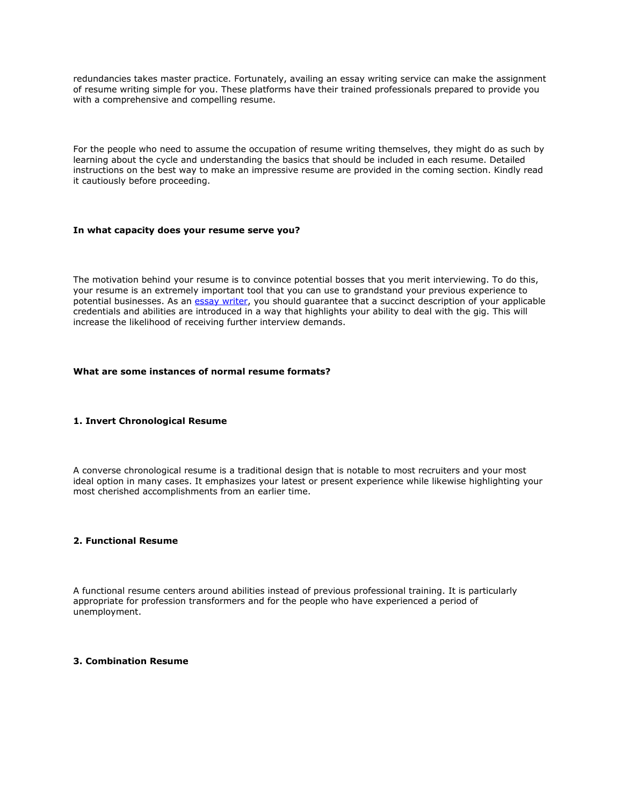redundancies takes master practice. Fortunately, availing an essay writing service can make the assignment of resume writing simple for you. These platforms have their trained professionals prepared to provide you with a comprehensive and compelling resume.

For the people who need to assume the occupation of resume writing themselves, they might do as such by learning about the cycle and understanding the basics that should be included in each resume. Detailed instructions on the best way to make an impressive resume are provided in the coming section. Kindly read it cautiously before proceeding.

### **In what capacity does your resume serve you?**

The motivation behind your resume is to convince potential bosses that you merit interviewing. To do this, your resume is an extremely important tool that you can use to grandstand your previous experience to potential businesses. As an [essay writer,](https://essaywriternow.com/) you should guarantee that a succinct description of your applicable credentials and abilities are introduced in a way that highlights your ability to deal with the gig. This will increase the likelihood of receiving further interview demands.

## **What are some instances of normal resume formats?**

## **1. Invert Chronological Resume**

A converse chronological resume is a traditional design that is notable to most recruiters and your most ideal option in many cases. It emphasizes your latest or present experience while likewise highlighting your most cherished accomplishments from an earlier time.

#### **2. Functional Resume**

A functional resume centers around abilities instead of previous professional training. It is particularly appropriate for profession transformers and for the people who have experienced a period of unemployment.

## **3. Combination Resume**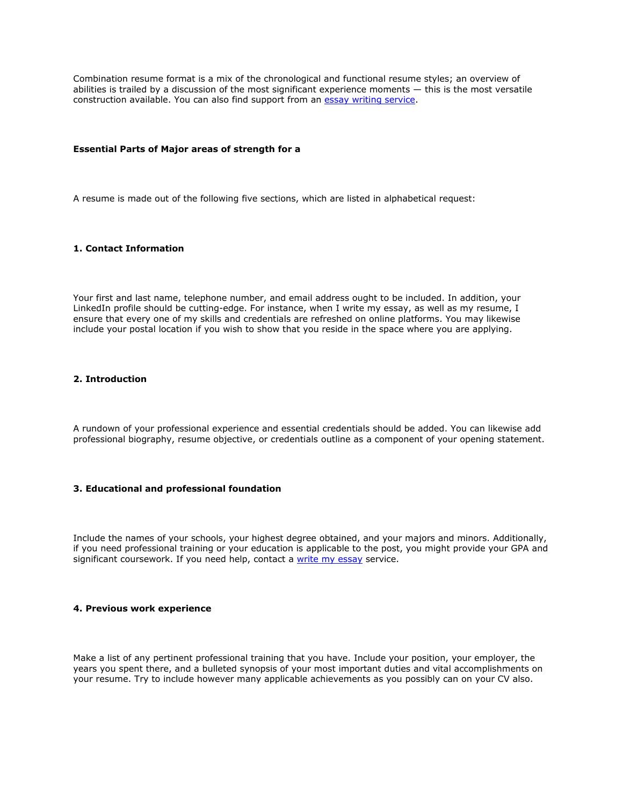Combination resume format is a mix of the chronological and functional resume styles; an overview of abilities is trailed by a discussion of the most significant experience moments — this is the most versatile construction available. You can also find support from an **essay writing service**.

### **Essential Parts of Major areas of strength for a**

A resume is made out of the following five sections, which are listed in alphabetical request:

## **1. Contact Information**

Your first and last name, telephone number, and email address ought to be included. In addition, your LinkedIn profile should be cutting-edge. For instance, when I write my essay, as well as my resume, I ensure that every one of my skills and credentials are refreshed on online platforms. You may likewise include your postal location if you wish to show that you reside in the space where you are applying.

## **2. Introduction**

A rundown of your professional experience and essential credentials should be added. You can likewise add professional biography, resume objective, or credentials outline as a component of your opening statement.

## **3. Educational and professional foundation**

Include the names of your schools, your highest degree obtained, and your majors and minors. Additionally, if you need professional training or your education is applicable to the post, you might provide your GPA and significant coursework. If you need help, contact a [write my essay](https://www.myperfectwords.com/) service.

#### **4. Previous work experience**

Make a list of any pertinent professional training that you have. Include your position, your employer, the years you spent there, and a bulleted synopsis of your most important duties and vital accomplishments on your resume. Try to include however many applicable achievements as you possibly can on your CV also.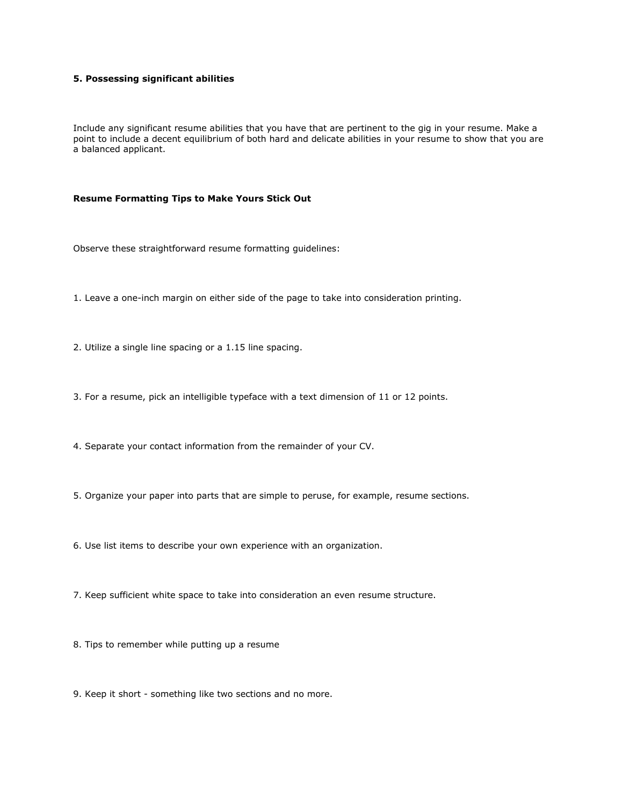# **5. Possessing significant abilities**

Include any significant resume abilities that you have that are pertinent to the gig in your resume. Make a point to include a decent equilibrium of both hard and delicate abilities in your resume to show that you are a balanced applicant.

#### **Resume Formatting Tips to Make Yours Stick Out**

Observe these straightforward resume formatting guidelines:

1. Leave a one-inch margin on either side of the page to take into consideration printing.

2. Utilize a single line spacing or a 1.15 line spacing.

3. For a resume, pick an intelligible typeface with a text dimension of 11 or 12 points.

4. Separate your contact information from the remainder of your CV.

5. Organize your paper into parts that are simple to peruse, for example, resume sections.

6. Use list items to describe your own experience with an organization.

7. Keep sufficient white space to take into consideration an even resume structure.

8. Tips to remember while putting up a resume

9. Keep it short - something like two sections and no more.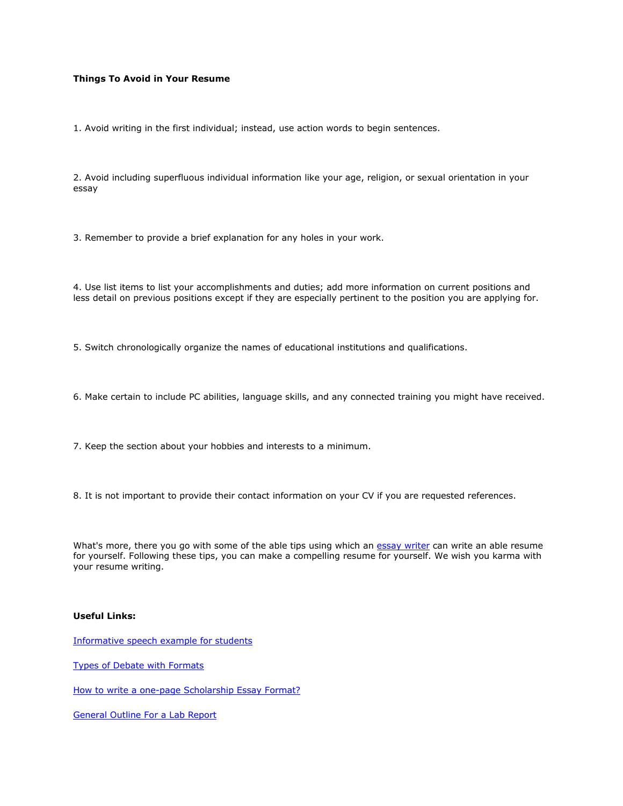# **Things To Avoid in Your Resume**

1. Avoid writing in the first individual; instead, use action words to begin sentences.

2. Avoid including superfluous individual information like your age, religion, or sexual orientation in your essay

3. Remember to provide a brief explanation for any holes in your work.

4. Use list items to list your accomplishments and duties; add more information on current positions and less detail on previous positions except if they are especially pertinent to the position you are applying for.

5. Switch chronologically organize the names of educational institutions and qualifications.

6. Make certain to include PC abilities, language skills, and any connected training you might have received.

7. Keep the section about your hobbies and interests to a minimum.

8. It is not important to provide their contact information on your CV if you are requested references.

What's more, there you go with some of the able tips using which an [essay writer](https://www.myperfectwords.com/) can write an able resume for yourself. Following these tips, you can make a compelling resume for yourself. We wish you karma with your resume writing.

# **Useful Links:**

[Informative speech example for students](https://www.essaywriter.college/essay-examples/informative-speech-example-for-students)

[Types of Debate with Formats](https://www.essaywriter.college/essay-examples/types-of-debate-with-formats)

[How to write a one-page Scholarship Essay Format?](https://www.essaywriter.college/essay-examples/how-to-write-a-one-page-scholarship-essay-format)

[General Outline For a Lab Report](https://www.essaywriter.college/essay-examples/general-outline-for-a-lab-report)